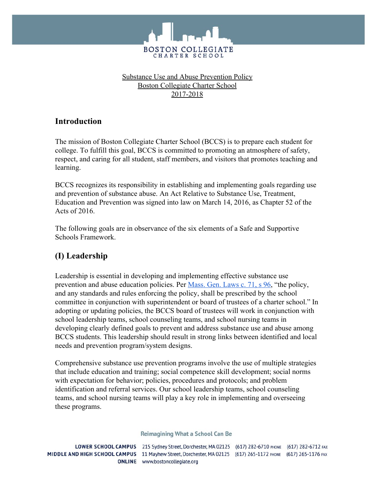

### Substance Use and Abuse Prevention Policy Boston Collegiate Charter School 2017-2018

## **Introduction**

The mission of Boston Collegiate Charter School (BCCS) is to prepare each student for college. To fulfill this goal, BCCS is committed to promoting an atmosphere of safety, respect, and caring for all student, staff members, and visitors that promotes teaching and learning.

BCCS recognizes its responsibility in establishing and implementing goals regarding use and prevention of substance abuse. An Act Relative to Substance Use, Treatment, Education and Prevention was signed into law on March 14, 2016, as Chapter 52 of the Acts of 2016.

The following goals are in observance of the six elements of a Safe and Supportive Schools Framework.

## **(I) Leadership**

Leadership is essential in developing and implementing effective substance use prevention and abuse education policies. Per [Mass. Gen. Laws c. 71, s 96](https://malegislature.gov/Laws/GeneralLaws/PartI/TitleXII/Chapter71/Section96), "the policy, and any standards and rules enforcing the policy, shall be prescribed by the school committee in conjunction with superintendent or board of trustees of a charter school." In adopting or updating policies, the BCCS board of trustees will work in conjunction with school leadership teams, school counseling teams, and school nursing teams in developing clearly defined goals to prevent and address substance use and abuse among BCCS students. This leadership should result in strong links between identified and local needs and prevention program/system designs.

Comprehensive substance use prevention programs involve the use of multiple strategies that include education and training; social competence skill development; social norms with expectation for behavior; policies, procedures and protocols; and problem identification and referral services. Our school leadership teams, school counseling teams, and school nursing teams will play a key role in implementing and overseeing these programs.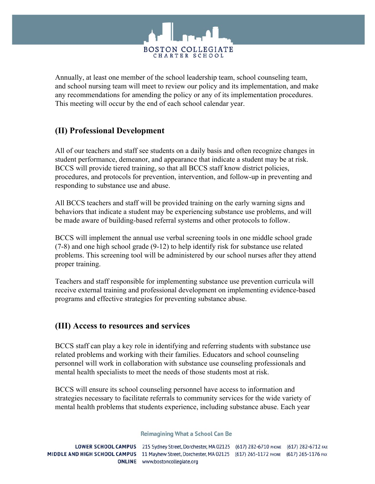

Annually, at least one member of the school leadership team, school counseling team, and school nursing team will meet to review our policy and its implementation, and make any recommendations for amending the policy or any of its implementation procedures. This meeting will occur by the end of each school calendar year.

## **(II) Professional Development**

All of our teachers and staff see students on a daily basis and often recognize changes in student performance, demeanor, and appearance that indicate a student may be at risk. BCCS will provide tiered training, so that all BCCS staff know district policies, procedures, and protocols for prevention, intervention, and follow-up in preventing and responding to substance use and abuse.

All BCCS teachers and staff will be provided training on the early warning signs and behaviors that indicate a student may be experiencing substance use problems, and will be made aware of building-based referral systems and other protocols to follow.

BCCS will implement the annual use verbal screening tools in one middle school grade (7-8) and one high school grade (9-12) to help identify risk for substance use related problems. This screening tool will be administered by our school nurses after they attend proper training.

Teachers and staff responsible for implementing substance use prevention curricula will receive external training and professional development on implementing evidence-based programs and effective strategies for preventing substance abuse.

## **(III) Access to resources and services**

BCCS staff can play a key role in identifying and referring students with substance use related problems and working with their families. Educators and school counseling personnel will work in collaboration with substance use counseling professionals and mental health specialists to meet the needs of those students most at risk.

BCCS will ensure its school counseling personnel have access to information and strategies necessary to facilitate referrals to community services for the wide variety of mental health problems that students experience, including substance abuse. Each year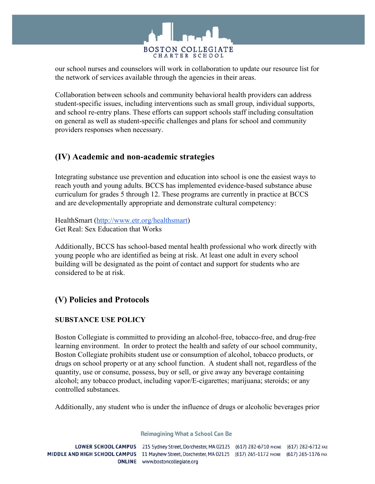

our school nurses and counselors will work in collaboration to update our resource list for the network of services available through the agencies in their areas.

Collaboration between schools and community behavioral health providers can address student-specific issues, including interventions such as small group, individual supports, and school re-entry plans. These efforts can support schools staff including consultation on general as well as student-specific challenges and plans for school and community providers responses when necessary.

## **(IV) Academic and non-academic strategies**

Integrating substance use prevention and education into school is one the easiest ways to reach youth and young adults. BCCS has implemented evidence-based substance abuse curriculum for grades 5 through 12. These programs are currently in practice at BCCS and are developmentally appropriate and demonstrate cultural competency:

HealthSmart ([http://www.etr.org/healthsmart\)](http://www.etr.org/healthsmart) Get Real: Sex Education that Works

Additionally, BCCS has school-based mental health professional who work directly with young people who are identified as being at risk. At least one adult in every school building will be designated as the point of contact and support for students who are considered to be at risk.

# **(V) Policies and Protocols**

## **SUBSTANCE USE POLICY**

Boston Collegiate is committed to providing an alcohol-free, tobacco-free, and drug-free learning environment. In order to protect the health and safety of our school community, Boston Collegiate prohibits student use or consumption of alcohol, tobacco products, or drugs on school property or at any school function. A student shall not, regardless of the quantity, use or consume, possess, buy or sell, or give away any beverage containing alcohol; any tobacco product, including vapor/E-cigarettes; marijuana; steroids; or any controlled substances.

Additionally, any student who is under the influence of drugs or alcoholic beverages prior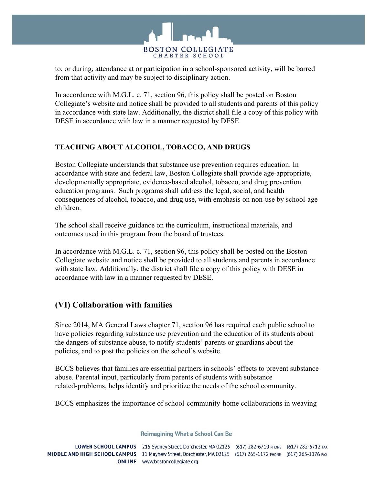

to, or during, attendance at or participation in a school-sponsored activity, will be barred from that activity and may be subject to disciplinary action.

In accordance with M.G.L. c. 71, section 96, this policy shall be posted on Boston Collegiate's website and notice shall be provided to all students and parents of this policy in accordance with state law. Additionally, the district shall file a copy of this policy with DESE in accordance with law in a manner requested by DESE.

## **TEACHING ABOUT ALCOHOL, TOBACCO, AND DRUGS**

Boston Collegiate understands that substance use prevention requires education. In accordance with state and federal law, Boston Collegiate shall provide age-appropriate, developmentally appropriate, evidence-based alcohol, tobacco, and drug prevention education programs. Such programs shall address the legal, social, and health consequences of alcohol, tobacco, and drug use, with emphasis on non-use by school-age children.

The school shall receive guidance on the curriculum, instructional materials, and outcomes used in this program from the board of trustees.

In accordance with M.G.L. c. 71, section 96, this policy shall be posted on the Boston Collegiate website and notice shall be provided to all students and parents in accordance with state law. Additionally, the district shall file a copy of this policy with DESE in accordance with law in a manner requested by DESE.

## **(VI) Collaboration with families**

Since 2014, MA General Laws chapter 71, section 96 has required each public school to have policies regarding substance use prevention and the education of its students about the dangers of substance abuse, to notify students' parents or guardians about the policies, and to post the policies on the school's website.

BCCS believes that families are essential partners in schools' effects to prevent substance abuse. Parental input, particularly from parents of students with substance related-problems, helps identify and prioritize the needs of the school community.

BCCS emphasizes the importance of school-community-home collaborations in weaving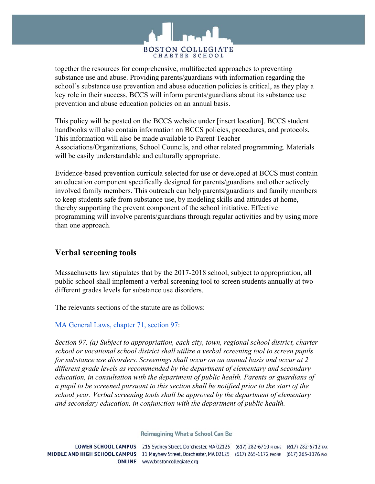

together the resources for comprehensive, multifaceted approaches to preventing substance use and abuse. Providing parents/guardians with information regarding the school's substance use prevention and abuse education policies is critical, as they play a key role in their success. BCCS will inform parents/guardians about its substance use prevention and abuse education policies on an annual basis.

This policy will be posted on the BCCS website under [insert location]. BCCS student handbooks will also contain information on BCCS policies, procedures, and protocols. This information will also be made available to Parent Teacher Associations/Organizations, School Councils, and other related programming. Materials will be easily understandable and culturally appropriate.

Evidence-based prevention curricula selected for use or developed at BCCS must contain an education component specifically designed for parents/guardians and other actively involved family members. This outreach can help parents/guardians and family members to keep students safe from substance use, by modeling skills and attitudes at home, thereby supporting the prevent component of the school initiative. Effective programming will involve parents/guardians through regular activities and by using more than one approach.

## **Verbal screening tools**

Massachusetts law stipulates that by the 2017-2018 school, subject to appropriation, all public school shall implement a verbal screening tool to screen students annually at two different grades levels for substance use disorders.

The relevants sections of the statute are as follows:

### [MA General Laws, chapter 71, section 97:](https://malegislature.gov/Laws/GeneralLaws/PartI/TitleXII/Chapter71/Section97)

*Section 97. (a) Subject to appropriation, each city, town, regional school district, charter school or vocational school district shall utilize a verbal screening tool to screen pupils for substance use disorders. Screenings shall occur on an annual basis and occur at 2 different grade levels as recommended by the department of elementary and secondary education, in consultation with the department of public health. Parents or guardians of a pupil to be screened pursuant to this section shall be notified prior to the start of the school year. Verbal screening tools shall be approved by the department of elementary and secondary education, in conjunction with the department of public health.*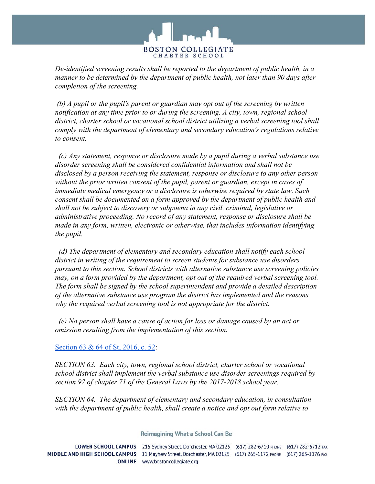

*De-identified screening results shall be reported to the department of public health, in a manner to be determined by the department of public health, not later than 90 days after completion of the screening.*

 *(b) A pupil or the pupil's parent or guardian may opt out of the screening by written notification at any time prior to or during the screening. A city, town, regional school district, charter school or vocational school district utilizing a verbal screening tool shall comply with the department of elementary and secondary education's regulations relative to consent.*

 *(c) Any statement, response or disclosure made by a pupil during a verbal substance use disorder screening shall be considered confidential information and shall not be disclosed by a person receiving the statement, response or disclosure to any other person without the prior written consent of the pupil, parent or guardian, except in cases of immediate medical emergency or a disclosure is otherwise required by state law. Such consent shall be documented on a form approved by the department of public health and shall not be subject to discovery or subpoena in any civil, criminal, legislative or administrative proceeding. No record of any statement, response or disclosure shall be made in any form, written, electronic or otherwise, that includes information identifying the pupil.*

 *(d) The department of elementary and secondary education shall notify each school district in writing of the requirement to screen students for substance use disorders pursuant to this section. School districts with alternative substance use screening policies may, on a form provided by the department, opt out of the required verbal screening tool. The form shall be signed by the school superintendent and provide a detailed description of the alternative substance use program the district has implemented and the reasons why the required verbal screening tool is not appropriate for the district.*

 *(e) No person shall have a cause of action for loss or damage caused by an act or omission resulting from the implementation of this section.*

### [Section 63 & 64 of St, 2016, c. 52:](https://malegislature.gov/Laws/SessionLaws/Acts/2016/Chapter52)

*SECTION 63. Each city, town, regional school district, charter school or vocational school district shall implement the verbal substance use disorder screenings required by section 97 of chapter 71 of the General Laws by the 2017-2018 school year.*

*SECTION 64. The department of elementary and secondary education, in consultation with the department of public health, shall create a notice and opt out form relative to*